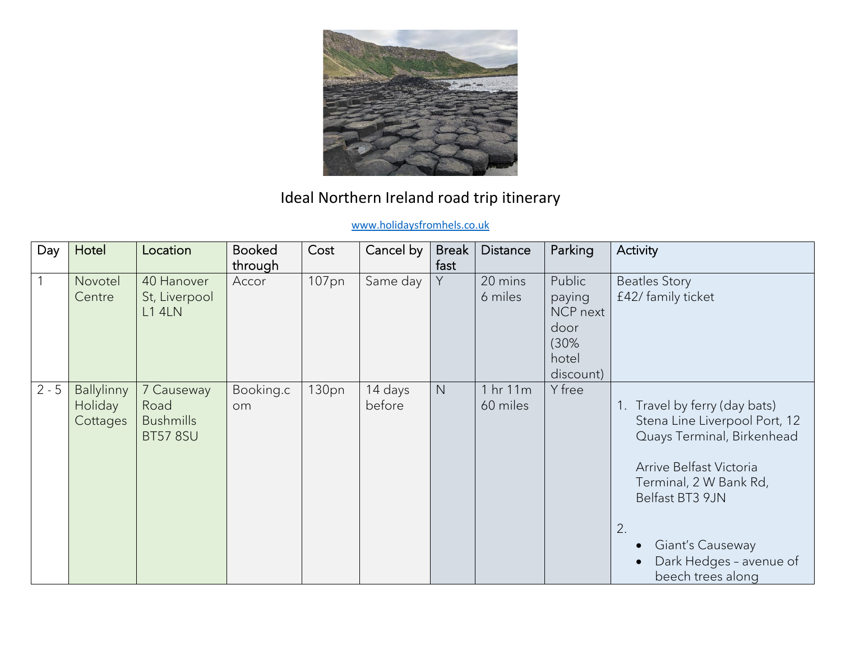

## Ideal Northern Ireland road trip itinerary

## [www.holidaysfromhels.co.uk](http://www.holidaysfromhels.co.uk/)

| Day     | Hotel                                    | Location                                                  | <b>Booked</b><br>through | Cost  | Cancel by         | <b>Break</b><br>fast | <b>Distance</b>      | Parking                                                            | Activity                                                                                                                                                                                                                                    |
|---------|------------------------------------------|-----------------------------------------------------------|--------------------------|-------|-------------------|----------------------|----------------------|--------------------------------------------------------------------|---------------------------------------------------------------------------------------------------------------------------------------------------------------------------------------------------------------------------------------------|
|         | Novotel<br>Centre                        | 40 Hanover<br>St, Liverpool<br><b>L1 4LN</b>              | Accor                    | 107pn | Same day          | Y                    | 20 mins<br>6 miles   | Public<br>paying<br>NCP next<br>door<br>(30%<br>hotel<br>discount) | <b>Beatles Story</b><br>£42/ family ticket                                                                                                                                                                                                  |
| $2 - 5$ | <b>Ballylinny</b><br>Holiday<br>Cottages | 7 Causeway<br>Road<br><b>Bushmills</b><br><b>BT57 8SU</b> | Booking.c<br><b>om</b>   | 130pn | 14 days<br>before | N                    | 1 hr 11m<br>60 miles | Y free                                                             | Travel by ferry (day bats)<br>Stena Line Liverpool Port, 12<br>Quays Terminal, Birkenhead<br>Arrive Belfast Victoria<br>Terminal, 2 W Bank Rd,<br>Belfast BT3 9JN<br>2.<br>Giant's Causeway<br>Dark Hedges - avenue of<br>beech trees along |